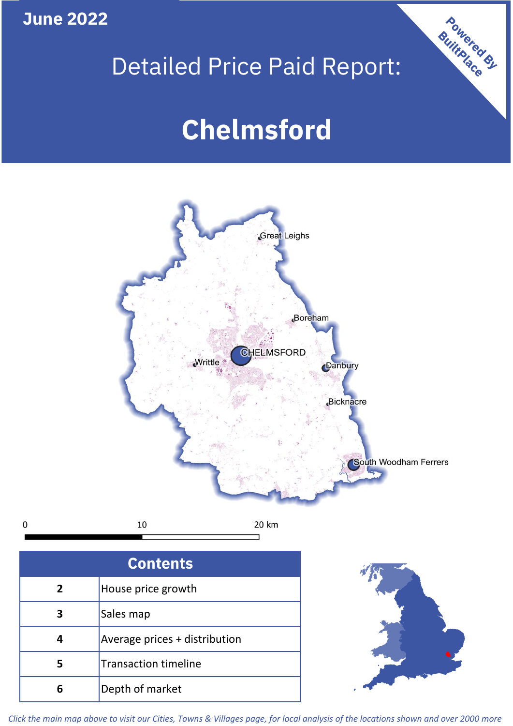**June 2022**

# Detailed Price Paid Report:

# **Chelmsford**



| <b>Contents</b> |                               |  |  |  |
|-----------------|-------------------------------|--|--|--|
| $\overline{2}$  | House price growth            |  |  |  |
| 3               | Sales map                     |  |  |  |
|                 | Average prices + distribution |  |  |  |
| 5               | <b>Transaction timeline</b>   |  |  |  |
|                 | Depth of market               |  |  |  |



**Powered By** 

*Click the main map above to visit our Cities, Towns & Villages page, for local analysis of the locations shown and over 2000 more*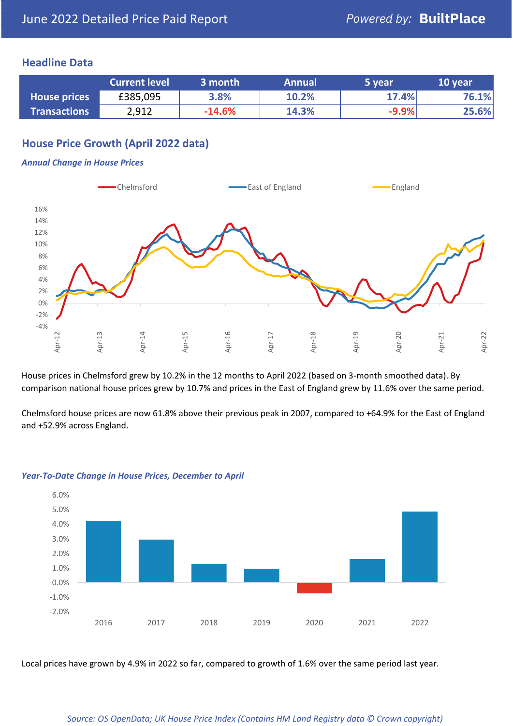### **Headline Data**

|                     | <b>Current level</b> | 3 month  | <b>Annual</b> | 5 year  | 10 year |
|---------------------|----------------------|----------|---------------|---------|---------|
| <b>House prices</b> | £385,095             | 3.8%     | 10.2%         | 17.4%   | 76.1%   |
| <b>Transactions</b> | 2,912                | $-14.6%$ | 14.3%         | $-9.9%$ | 25.6%   |

# **House Price Growth (April 2022 data)**

#### *Annual Change in House Prices*



House prices in Chelmsford grew by 10.2% in the 12 months to April 2022 (based on 3-month smoothed data). By comparison national house prices grew by 10.7% and prices in the East of England grew by 11.6% over the same period.

Chelmsford house prices are now 61.8% above their previous peak in 2007, compared to +64.9% for the East of England and +52.9% across England.



#### *Year-To-Date Change in House Prices, December to April*

Local prices have grown by 4.9% in 2022 so far, compared to growth of 1.6% over the same period last year.

#### *Source: OS OpenData; UK House Price Index (Contains HM Land Registry data © Crown copyright)*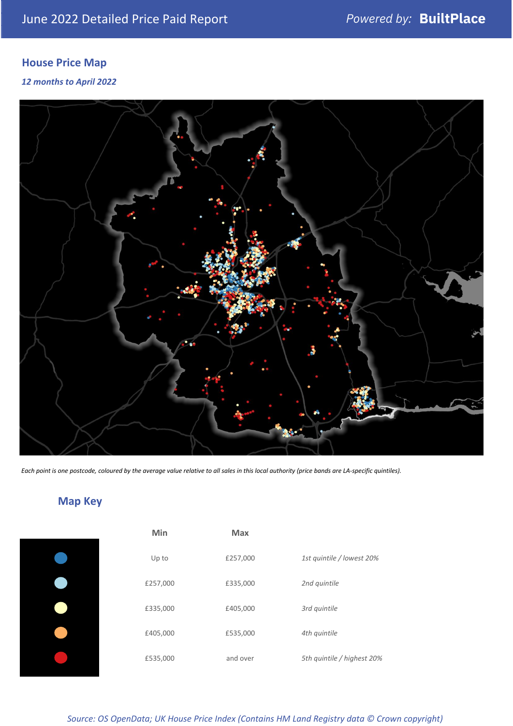# **House Price Map**

#### *12 months to April 2022*



*Each point is one postcode, coloured by the average value relative to all sales in this local authority (price bands are LA-specific quintiles).*

# **Map Key**

| Min      | Max      |                            |
|----------|----------|----------------------------|
| Up to    | £257,000 | 1st quintile / lowest 20%  |
| £257,000 | £335,000 | 2nd quintile               |
| £335,000 | £405,000 | 3rd quintile               |
| £405,000 | £535,000 | 4th quintile               |
| £535,000 | and over | 5th quintile / highest 20% |

#### *Source: OS OpenData; UK House Price Index (Contains HM Land Registry data © Crown copyright)*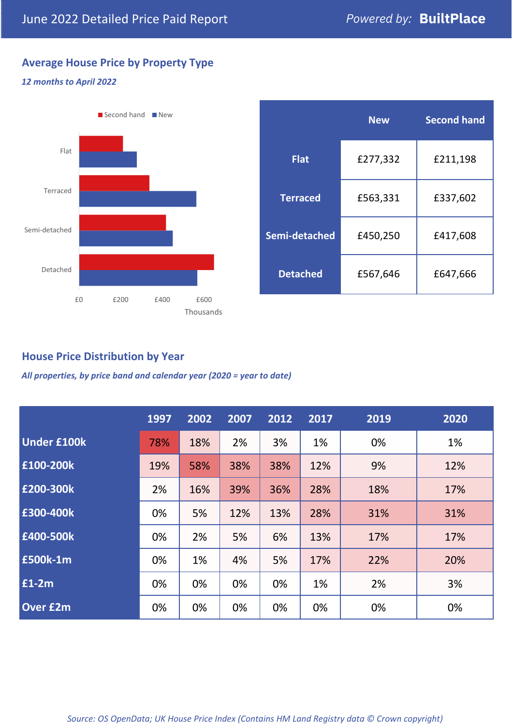# **Average House Price by Property Type**

#### *12 months to April 2022*



|                 | <b>New</b> | <b>Second hand</b> |  |
|-----------------|------------|--------------------|--|
| <b>Flat</b>     | £277,332   | £211,198           |  |
| <b>Terraced</b> | £563,331   | £337,602           |  |
| Semi-detached   | £450,250   | £417,608           |  |
| <b>Detached</b> | £567,646   | £647,666           |  |

## **House Price Distribution by Year**

*All properties, by price band and calendar year (2020 = year to date)*

|                    | 1997 | 2002 | 2007 | 2012 | 2017 | 2019 | 2020 |
|--------------------|------|------|------|------|------|------|------|
| <b>Under £100k</b> | 78%  | 18%  | 2%   | 3%   | 1%   | 0%   | 1%   |
| £100-200k          | 19%  | 58%  | 38%  | 38%  | 12%  | 9%   | 12%  |
| E200-300k          | 2%   | 16%  | 39%  | 36%  | 28%  | 18%  | 17%  |
| £300-400k          | 0%   | 5%   | 12%  | 13%  | 28%  | 31%  | 31%  |
| £400-500k          | 0%   | 2%   | 5%   | 6%   | 13%  | 17%  | 17%  |
| £500k-1m           | 0%   | 1%   | 4%   | 5%   | 17%  | 22%  | 20%  |
| £1-2m              | 0%   | 0%   | 0%   | 0%   | 1%   | 2%   | 3%   |
| <b>Over £2m</b>    | 0%   | 0%   | 0%   | 0%   | 0%   | 0%   | 0%   |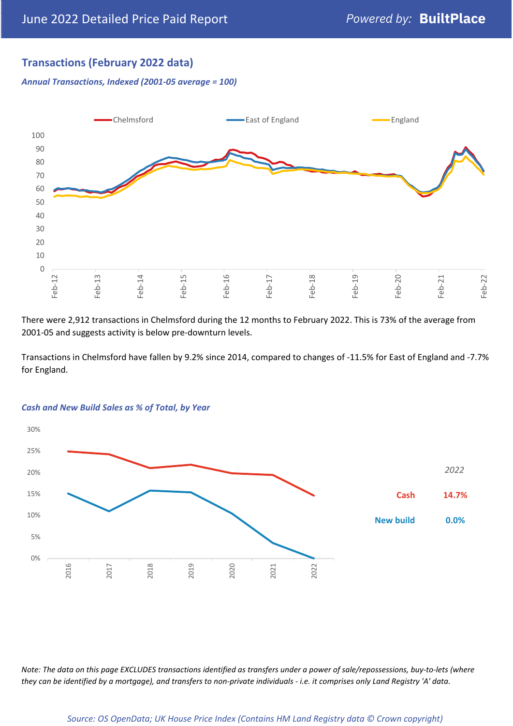# **Transactions (February 2022 data)**

*Annual Transactions, Indexed (2001-05 average = 100)*



There were 2,912 transactions in Chelmsford during the 12 months to February 2022. This is 73% of the average from 2001-05 and suggests activity is below pre-downturn levels.

Transactions in Chelmsford have fallen by 9.2% since 2014, compared to changes of -11.5% for East of England and -7.7% for England.



#### *Cash and New Build Sales as % of Total, by Year*

*Note: The data on this page EXCLUDES transactions identified as transfers under a power of sale/repossessions, buy-to-lets (where they can be identified by a mortgage), and transfers to non-private individuals - i.e. it comprises only Land Registry 'A' data.*